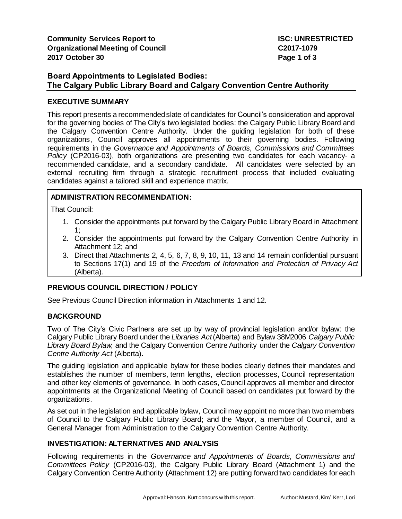## **Board Appointments to Legislated Bodies: The Calgary Public Library Board and Calgary Convention Centre Authority**

## **EXECUTIVE SUMMARY**

This report presents a recommended slate of candidates for Council's consideration and approval for the governing bodies of The City's two legislated bodies: the Calgary Public Library Board and the Calgary Convention Centre Authority. Under the guiding legislation for both of these organizations, Council approves all appointments to their governing bodies. Following requirements in the *Governance and Appointments of Boards, Commissions and Committees Policy* (CP2016-03), both organizations are presenting two candidates for each vacancy- a recommended candidate, and a secondary candidate. All candidates were selected by an external recruiting firm through a strategic recruitment process that included evaluating candidates against a tailored skill and experience matrix.

## **ADMINISTRATION RECOMMENDATION:**

That Council:

- 1. Consider the appointments put forward by the Calgary Public Library Board in Attachment 1;
- 2. Consider the appointments put forward by the Calgary Convention Centre Authority in Attachment 12; and
- 3. Direct that Attachments 2, 4, 5, 6, 7, 8, 9, 10, 11, 13 and 14 remain confidential pursuant to Sections 17(1) and 19 of the *Freedom of Information and Protection of Privacy Act*  (Alberta)*.*

# **PREVIOUS COUNCIL DIRECTION / POLICY**

See Previous Council Direction information in Attachments 1 and 12.

### **BACKGROUND**

Two of The City's Civic Partners are set up by way of provincial legislation and/or bylaw: the Calgary Public Library Board under the *Libraries Act*(Alberta) and Bylaw 38M2006 *Calgary Public Library Board Bylaw*, and the Calgary Convention Centre Authority under the *Calgary Convention Centre Authority Act* (Alberta).

The guiding legislation and applicable bylaw for these bodies clearly defines their mandates and establishes the number of members, term lengths, election processes, Council representation and other key elements of governance. In both cases, Council approves all member and director appointments at the Organizational Meeting of Council based on candidates put forward by the organizations.

As set out in the legislation and applicable bylaw, Council may appoint no more than two members of Council to the Calgary Public Library Board; and the Mayor, a member of Council, and a General Manager from Administration to the Calgary Convention Centre Authority.

### **INVESTIGATION: ALTERNATIVES AND ANALYSIS**

Following requirements in the *Governance and Appointments of Boards, Commissions and Committees Policy* (CP2016-03), the Calgary Public Library Board (Attachment 1) and the Calgary Convention Centre Authority (Attachment 12) are putting forward two candidates for each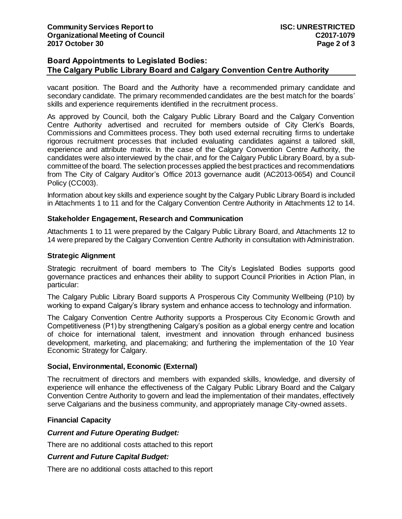## **Board Appointments to Legislated Bodies: The Calgary Public Library Board and Calgary Convention Centre Authority**

vacant position. The Board and the Authority have a recommended primary candidate and secondary candidate. The primary recommended candidates are the best match for the boards' skills and experience requirements identified in the recruitment process.

As approved by Council, both the Calgary Public Library Board and the Calgary Convention Centre Authority advertised and recruited for members outside of City Clerk's Boards, Commissions and Committees process. They both used external recruiting firms to undertake rigorous recruitment processes that included evaluating candidates against a tailored skill, experience and attribute matrix. In the case of the Calgary Convention Centre Authority, the candidates were also interviewed by the chair, and for the Calgary Public Library Board, by a subcommittee of the board. The selection processes applied the best practices and recommendations from The City of Calgary Auditor's Office 2013 governance audit (AC2013-0654) and Council Policy (CC003).

Information about key skills and experience sought by the Calgary Public Library Board is included in Attachments 1 to 11 and for the Calgary Convention Centre Authority in Attachments 12 to 14.

### **Stakeholder Engagement, Research and Communication**

Attachments 1 to 11 were prepared by the Calgary Public Library Board, and Attachments 12 to 14 were prepared by the Calgary Convention Centre Authority in consultation with Administration.

#### **Strategic Alignment**

Strategic recruitment of board members to The City's Legislated Bodies supports good governance practices and enhances their ability to support Council Priorities in Action Plan, in particular:

The Calgary Public Library Board supports A Prosperous City Community Wellbeing (P10) by working to expand Calgary's library system and enhance access to technology and information.

The Calgary Convention Centre Authority supports a Prosperous City Economic Growth and Competitiveness (P1) by strengthening Calgary's position as a global energy centre and location of choice for international talent, investment and innovation through enhanced business development, marketing, and placemaking; and furthering the implementation of the 10 Year Economic Strategy for Calgary.

#### **Social, Environmental, Economic (External)**

The recruitment of directors and members with expanded skills, knowledge, and diversity of experience will enhance the effectiveness of the Calgary Public Library Board and the Calgary Convention Centre Authority to govern and lead the implementation of their mandates, effectively serve Calgarians and the business community, and appropriately manage City-owned assets.

### **Financial Capacity**

#### *Current and Future Operating Budget:*

There are no additional costs attached to this report

#### *Current and Future Capital Budget:*

There are no additional costs attached to this report